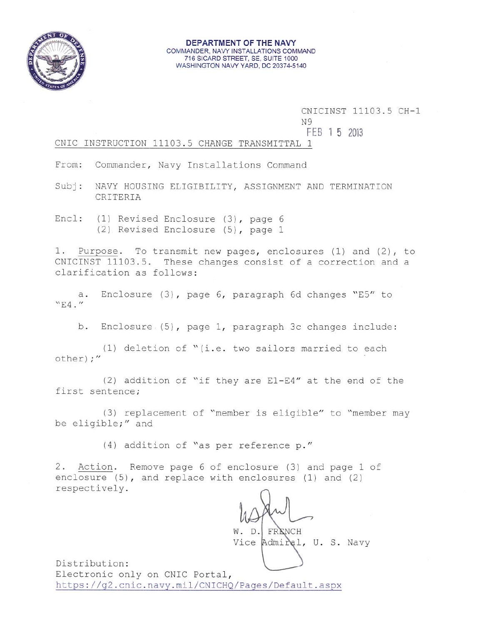

#### DEPARTMENT OF THE NAVY COMMANDER, NAVY INSTALLATIONS COMMAND 716 SICARD STREET, SE, SUITE 1000 WASHINGTON NAVY YARD, DC 20374-5140

CNICINST 11103.5 CH-1

N9

FEB 1 5 2013

### CNIC INSTRUCTION 11103.5 CHANGE TRANSMITTAL 1

Commander, Navy Installations Command From:

Subj: NAVY HOUSING ELIGIBILITY, ASSIGNMENT AND TERMINATION CRITERIA

Encl: (1) Revised Enclosure (3), page 6 (2) Revised Enclosure (5), page 1

1. Purpose. To transmit new pages, enclosures (1) and (2), to CNICINST 11103.5. These changes consist of a correction and a clarification as follows:

a. Enclosure (3), page 6, paragraph 6d changes "E5" to  $"E4."$ 

b. Enclosure (5), page 1, paragraph 3c changes include:

(1) deletion of "(i.e. two sailors married to each other) ;"

(2) addition of "if they are E1-E4" at the end of the first sentence;

(3) replacement of "member is eligible" to "member may be eligible;" and

(4) addition of "as per reference p."

2. Action. Remove page 6 of enclosure (3) and page 1 of enclosure (5), and replace with enclosures (1) and (2) respectively.

FRENCH W. D.

Vice Admiral, U. S. Navy

Distribution: Electronic only on CNIC Portal, https://g2.cnic.navy.mil/CNICHQ/Pages/Default.aspx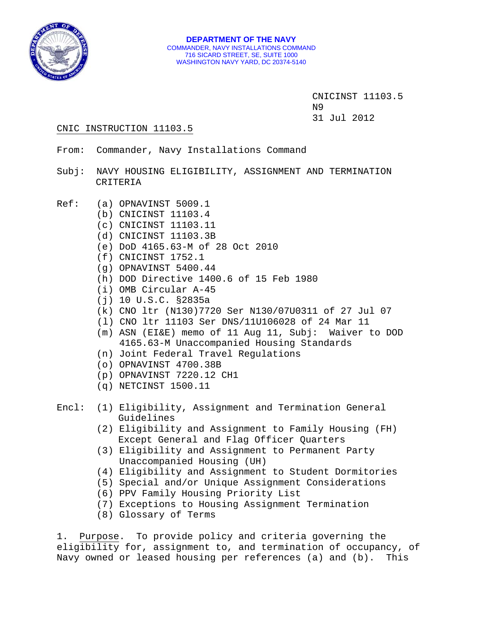

 CNICINST 11103.5 N9 31 Jul 2012

### CNIC INSTRUCTION 11103.5

- From: Commander, Navy Installations Command
- Subj: NAVY HOUSING ELIGIBILITY, ASSIGNMENT AND TERMINATION CRITERIA
- Ref: (a) OPNAVINST 5009.1
	- (b) CNICINST 11103.4
	- (c) CNICINST 11103.11
	- (d) CNICINST 11103.3B
	- (e) DoD 4165.63-M of 28 Oct 2010
	- (f) CNICINST 1752.1
	- (g) OPNAVINST 5400.44
	- (h) DOD Directive 1400.6 of 15 Feb 1980
	- (i) OMB Circular A-45
	- (j) 10 U.S.C. §2835a
	- (k) CNO ltr (N130)7720 Ser N130/07U0311 of 27 Jul 07
	- (l) CNO ltr 11103 Ser DNS/11U106028 of 24 Mar 11
	- (m) ASN (EI&E) memo of 11 Aug 11, Subj: Waiver to DOD 4165.63-M Unaccompanied Housing Standards
	- (n) Joint Federal Travel Regulations
	- (o) OPNAVINST 4700.38B
	- (p) OPNAVINST 7220.12 CH1
	- (q) NETCINST 1500.11

# Encl: (1) Eligibility, Assignment and Termination General Guidelines

- (2) Eligibility and Assignment to Family Housing (FH) Except General and Flag Officer Quarters
- (3) Eligibility and Assignment to Permanent Party Unaccompanied Housing (UH)
- (4) Eligibility and Assignment to Student Dormitories
- (5) Special and/or Unique Assignment Considerations
- (6) PPV Family Housing Priority List
- (7) Exceptions to Housing Assignment Termination
- (8) Glossary of Terms

1. Purpose. To provide policy and criteria governing the eligibility for, assignment to, and termination of occupancy, of Navy owned or leased housing per references (a) and (b). This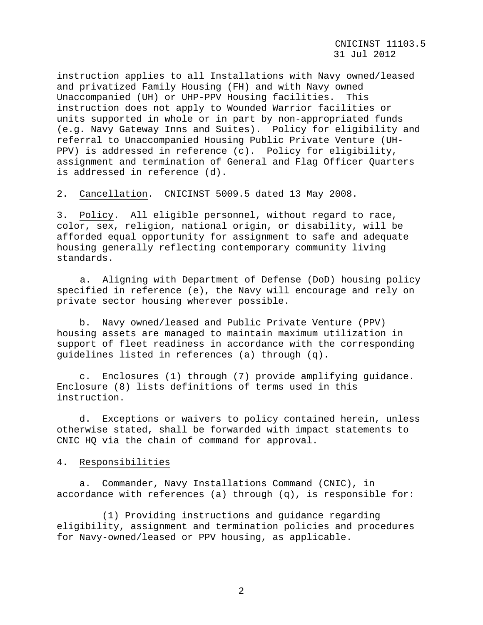CNICINST 11103.5 31 Jul 2012

instruction applies to all Installations with Navy owned/leased and privatized Family Housing (FH) and with Navy owned Unaccompanied (UH) or UHP-PPV Housing facilities. This instruction does not apply to Wounded Warrior facilities or units supported in whole or in part by non-appropriated funds (e.g. Navy Gateway Inns and Suites). Policy for eligibility and referral to Unaccompanied Housing Public Private Venture (UH-PPV) is addressed in reference (c). Policy for eligibility, assignment and termination of General and Flag Officer Quarters is addressed in reference (d).

2. Cancellation. CNICINST 5009.5 dated 13 May 2008.

3. Policy. All eligible personnel, without regard to race, color, sex, religion, national origin, or disability, will be afforded equal opportunity for assignment to safe and adequate housing generally reflecting contemporary community living standards.

a. Aligning with Department of Defense (DoD) housing policy specified in reference (e), the Navy will encourage and rely on private sector housing wherever possible.

 b. Navy owned/leased and Public Private Venture (PPV) housing assets are managed to maintain maximum utilization in support of fleet readiness in accordance with the corresponding guidelines listed in references (a) through (q).

 c. Enclosures (1) through (7) provide amplifying guidance. Enclosure (8) lists definitions of terms used in this instruction.

 d. Exceptions or waivers to policy contained herein, unless otherwise stated, shall be forwarded with impact statements to CNIC HQ via the chain of command for approval.

#### 4. Responsibilities

 a. Commander, Navy Installations Command (CNIC), in accordance with references (a) through (q), is responsible for:

 (1) Providing instructions and guidance regarding eligibility, assignment and termination policies and procedures for Navy-owned/leased or PPV housing, as applicable.

2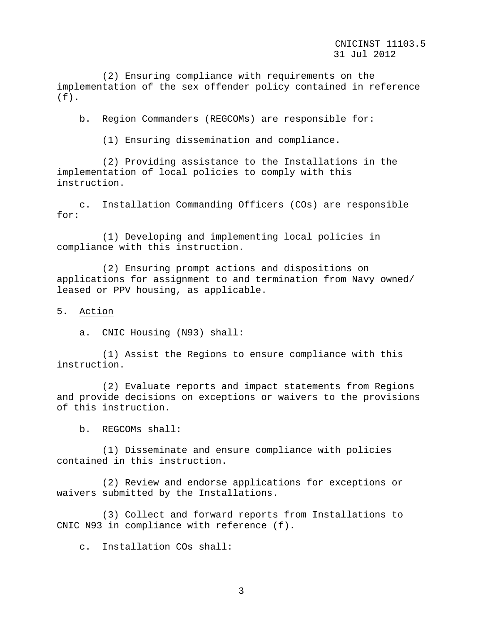(2) Ensuring compliance with requirements on the implementation of the sex offender policy contained in reference  $(f)$ .

b. Region Commanders (REGCOMs) are responsible for:

(1) Ensuring dissemination and compliance.

 (2) Providing assistance to the Installations in the implementation of local policies to comply with this instruction.

 c. Installation Commanding Officers (COs) are responsible for:

 (1) Developing and implementing local policies in compliance with this instruction.

 (2) Ensuring prompt actions and dispositions on applications for assignment to and termination from Navy owned/ leased or PPV housing, as applicable.

### 5. Action

a. CNIC Housing (N93) shall:

 (1) Assist the Regions to ensure compliance with this instruction.

 (2) Evaluate reports and impact statements from Regions and provide decisions on exceptions or waivers to the provisions of this instruction.

b. REGCOMs shall:

 (1) Disseminate and ensure compliance with policies contained in this instruction.

 (2) Review and endorse applications for exceptions or waivers submitted by the Installations.

 (3) Collect and forward reports from Installations to CNIC N93 in compliance with reference (f).

c. Installation COs shall:

3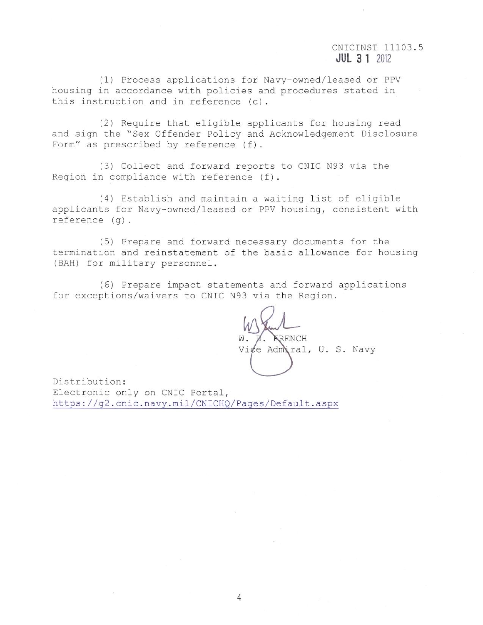# CNICINST 11103.5  $JUL$  3 1 2012

(1) Process applications for Navy-owned/leased or PPV housing in accordance with policies and procedures stated in this instruction and in reference (c).

(2) Require that eligible applicants for housing read and sign the "Sex Offender Policy and Acknowledgement Disclosure Form" as prescribed by reference (f).

(3) Collect and forward reports to CNIC N93 via the Region in compliance with reference (f).

(4) Establish and maintain a waiting list of eligible applicants for Navy-owned/leased or PPV housing, consistent with  $reference(q)$ .

(5) Prepare and forward necessary documents for the termination and reinstatement of the basic allowance for housing (BAH) for military personnel.

(6) Prepare impact statements and forward applications for exceptions/waivers to CNIC N93 via the Region.

*RRENCH* Vice Admiral, U. S. Navy

Distribution: Electronic only on CNIC Portal, https://g2.cnic.navy.mil/CNICHQ/Pages/Default.aspx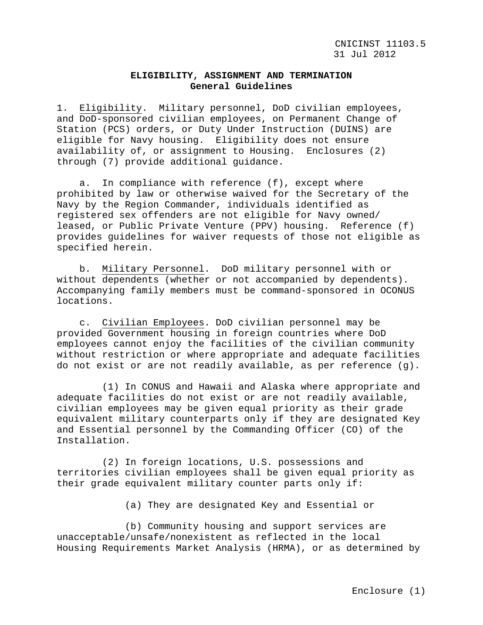## **ELIGIBILITY, ASSIGNMENT AND TERMINATION General Guidelines**

1. Eligibility. Military personnel, DoD civilian employees, and DoD-sponsored civilian employees, on Permanent Change of Station (PCS) orders, or Duty Under Instruction (DUINS) are eligible for Navy housing. Eligibility does not ensure availability of, or assignment to Housing. Enclosures (2) through (7) provide additional guidance.

 a. In compliance with reference (f), except where prohibited by law or otherwise waived for the Secretary of the Navy by the Region Commander, individuals identified as registered sex offenders are not eligible for Navy owned/ leased, or Public Private Venture (PPV) housing. Reference (f) provides guidelines for waiver requests of those not eligible as specified herein.

 b. Military Personnel. DoD military personnel with or without dependents (whether or not accompanied by dependents). Accompanying family members must be command-sponsored in OCONUS locations.

 c. Civilian Employees. DoD civilian personnel may be provided Government housing in foreign countries where DoD employees cannot enjoy the facilities of the civilian community without restriction or where appropriate and adequate facilities do not exist or are not readily available, as per reference (g).

 (1) In CONUS and Hawaii and Alaska where appropriate and adequate facilities do not exist or are not readily available, civilian employees may be given equal priority as their grade equivalent military counterparts only if they are designated Key and Essential personnel by the Commanding Officer (CO) of the Installation.

 (2) In foreign locations, U.S. possessions and territories civilian employees shall be given equal priority as their grade equivalent military counter parts only if:

(a) They are designated Key and Essential or

 (b) Community housing and support services are unacceptable/unsafe/nonexistent as reflected in the local Housing Requirements Market Analysis (HRMA), or as determined by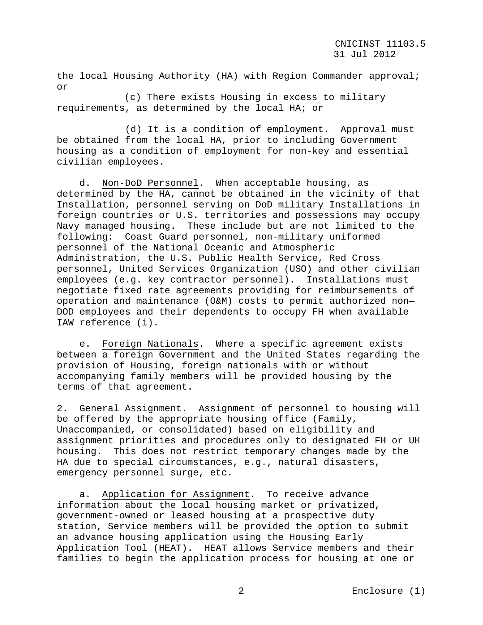the local Housing Authority (HA) with Region Commander approval; or

 (c) There exists Housing in excess to military requirements, as determined by the local HA; or

 (d) It is a condition of employment. Approval must be obtained from the local HA, prior to including Government housing as a condition of employment for non-key and essential civilian employees.

 d. Non-DoD Personnel. When acceptable housing, as determined by the HA, cannot be obtained in the vicinity of that Installation, personnel serving on DoD military Installations in foreign countries or U.S. territories and possessions may occupy Navy managed housing. These include but are not limited to the following: Coast Guard personnel, non-military uniformed personnel of the National Oceanic and Atmospheric Administration, the U.S. Public Health Service, Red Cross personnel, United Services Organization (USO) and other civilian employees (e.g. key contractor personnel). Installations must negotiate fixed rate agreements providing for reimbursements of operation and maintenance (O&M) costs to permit authorized non— DOD employees and their dependents to occupy FH when available IAW reference (i).

 e. Foreign Nationals. Where a specific agreement exists between a foreign Government and the United States regarding the provision of Housing, foreign nationals with or without accompanying family members will be provided housing by the terms of that agreement.

2. General Assignment. Assignment of personnel to housing will be offered by the appropriate housing office (Family, Unaccompanied, or consolidated) based on eligibility and assignment priorities and procedures only to designated FH or UH housing. This does not restrict temporary changes made by the HA due to special circumstances, e.g., natural disasters, emergency personnel surge, etc.

 a. Application for Assignment. To receive advance information about the local housing market or privatized, government-owned or leased housing at a prospective duty station, Service members will be provided the option to submit an advance housing application using the Housing Early Application Tool (HEAT). HEAT allows Service members and their families to begin the application process for housing at one or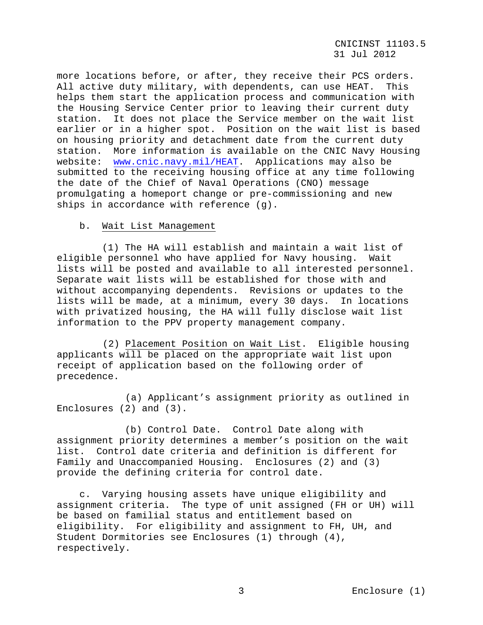more locations before, or after, they receive their PCS orders.<br>All active duty military, with dependents, can use HEAT. This All active duty military, with dependents, can use HEAT. helps them start the application process and communication with the Housing Service Center prior to leaving their current duty station. It does not place the Service member on the wait list earlier or in a higher spot. Position on the wait list is based on housing priority and detachment date from the current duty station. More information is available on the CNIC Navy Housing website: [www.cnic.navy.mil/HEAT.](http://www.cnic.navy.mil/HEAT) Applications may also be submitted to the receiving housing office at any time following the date of the Chief of Naval Operations (CNO) message promulgating a homeport change or pre-commissioning and new ships in accordance with reference (g).

## b. Wait List Management

 (1) The HA will establish and maintain a wait list of eligible personnel who have applied for Navy housing. Wait lists will be posted and available to all interested personnel. Separate wait lists will be established for those with and without accompanying dependents. Revisions or updates to the lists will be made, at a minimum, every 30 days. In locations with privatized housing, the HA will fully disclose wait list information to the PPV property management company.

 (2) Placement Position on Wait List. Eligible housing applicants will be placed on the appropriate wait list upon receipt of application based on the following order of precedence.

 (a) Applicant's assignment priority as outlined in Enclosures (2) and (3).

 (b) Control Date. Control Date along with assignment priority determines a member's position on the wait list. Control date criteria and definition is different for Family and Unaccompanied Housing. Enclosures (2) and (3) provide the defining criteria for control date.

 c. Varying housing assets have unique eligibility and assignment criteria. The type of unit assigned (FH or UH) will be based on familial status and entitlement based on eligibility. For eligibility and assignment to FH, UH, and Student Dormitories see Enclosures (1) through (4), respectively.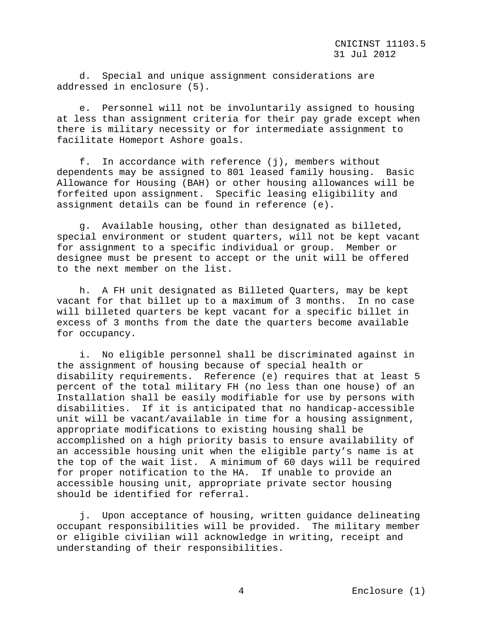d. Special and unique assignment considerations are addressed in enclosure (5).

 e. Personnel will not be involuntarily assigned to housing at less than assignment criteria for their pay grade except when there is military necessity or for intermediate assignment to facilitate Homeport Ashore goals.

 f. In accordance with reference (j), members without dependents may be assigned to 801 leased family housing. Basic Allowance for Housing (BAH) or other housing allowances will be forfeited upon assignment. Specific leasing eligibility and assignment details can be found in reference (e).

 g. Available housing, other than designated as billeted, special environment or student quarters, will not be kept vacant for assignment to a specific individual or group. Member or designee must be present to accept or the unit will be offered to the next member on the list.

 h. A FH unit designated as Billeted Quarters, may be kept vacant for that billet up to a maximum of 3 months. In no case will billeted quarters be kept vacant for a specific billet in excess of 3 months from the date the quarters become available for occupancy.

 i. No eligible personnel shall be discriminated against in the assignment of housing because of special health or disability requirements. Reference (e) requires that at least 5 percent of the total military FH (no less than one house) of an Installation shall be easily modifiable for use by persons with disabilities. If it is anticipated that no handicap-accessible unit will be vacant/available in time for a housing assignment, appropriate modifications to existing housing shall be accomplished on a high priority basis to ensure availability of an accessible housing unit when the eligible party's name is at the top of the wait list. A minimum of 60 days will be required for proper notification to the HA. If unable to provide an accessible housing unit, appropriate private sector housing should be identified for referral.

 j. Upon acceptance of housing, written guidance delineating occupant responsibilities will be provided. The military member or eligible civilian will acknowledge in writing, receipt and understanding of their responsibilities.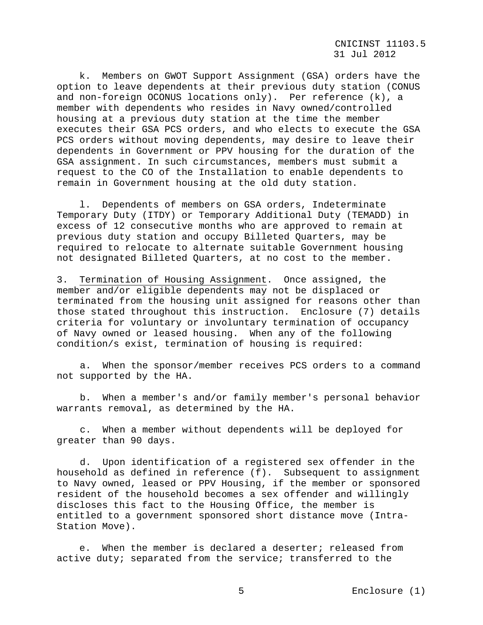CNICINST 11103.5 31 Jul 2012

 k. Members on GWOT Support Assignment (GSA) orders have the option to leave dependents at their previous duty station (CONUS and non-foreign OCONUS locations only). Per reference (k), a member with dependents who resides in Navy owned/controlled housing at a previous duty station at the time the member executes their GSA PCS orders, and who elects to execute the GSA PCS orders without moving dependents, may desire to leave their dependents in Government or PPV housing for the duration of the GSA assignment. In such circumstances, members must submit a request to the CO of the Installation to enable dependents to remain in Government housing at the old duty station.

 l. Dependents of members on GSA orders, Indeterminate Temporary Duty (ITDY) or Temporary Additional Duty (TEMADD) in excess of 12 consecutive months who are approved to remain at previous duty station and occupy Billeted Quarters, may be required to relocate to alternate suitable Government housing not designated Billeted Quarters, at no cost to the member.

3. Termination of Housing Assignment. Once assigned, the member and/or eligible dependents may not be displaced or terminated from the housing unit assigned for reasons other than those stated throughout this instruction. Enclosure (7) details criteria for voluntary or involuntary termination of occupancy of Navy owned or leased housing. When any of the following condition/s exist, termination of housing is required:

a. When the sponsor/member receives PCS orders to a command not supported by the HA.

b. When a member's and/or family member's personal behavior warrants removal, as determined by the HA.

c. When a member without dependents will be deployed for greater than 90 days.

d. Upon identification of a registered sex offender in the household as defined in reference (f). Subsequent to assignment to Navy owned, leased or PPV Housing, if the member or sponsored resident of the household becomes a sex offender and willingly discloses this fact to the Housing Office, the member is entitled to a government sponsored short distance move (Intra-Station Move).

 e. When the member is declared a deserter; released from active duty; separated from the service; transferred to the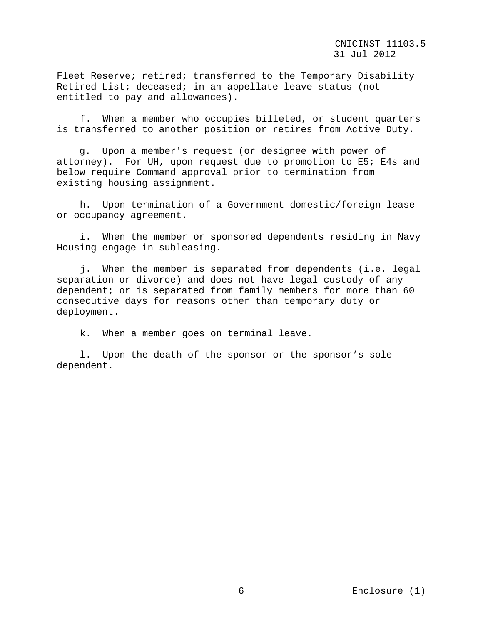Fleet Reserve; retired; transferred to the Temporary Disability Retired List; deceased; in an appellate leave status (not entitled to pay and allowances).

f. When a member who occupies billeted, or student quarters is transferred to another position or retires from Active Duty.

 g. Upon a member's request (or designee with power of attorney). For UH, upon request due to promotion to E5; E4s and below require Command approval prior to termination from existing housing assignment.

h. Upon termination of a Government domestic/foreign lease or occupancy agreement.

i. When the member or sponsored dependents residing in Navy Housing engage in subleasing.

j. When the member is separated from dependents (i.e. legal separation or divorce) and does not have legal custody of any dependent; or is separated from family members for more than 60 consecutive days for reasons other than temporary duty or deployment.

k. When a member goes on terminal leave.

l. Upon the death of the sponsor or the sponsor's sole dependent.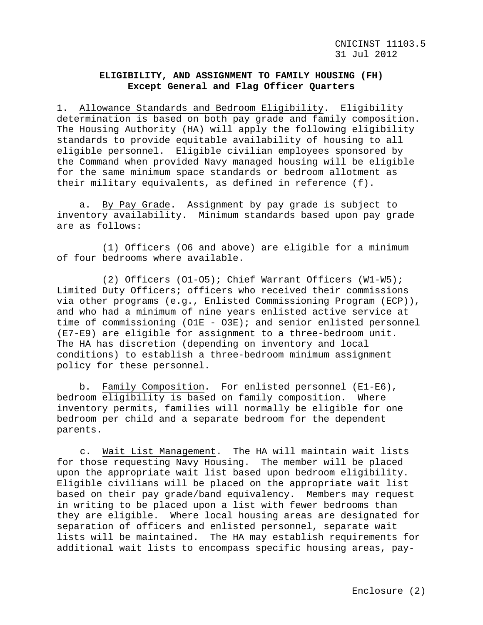# **ELIGIBILITY, AND ASSIGNMENT TO FAMILY HOUSING (FH) Except General and Flag Officer Quarters**

1. Allowance Standards and Bedroom Eligibility. Eligibility determination is based on both pay grade and family composition. The Housing Authority (HA) will apply the following eligibility standards to provide equitable availability of housing to all eligible personnel. Eligible civilian employees sponsored by the Command when provided Navy managed housing will be eligible for the same minimum space standards or bedroom allotment as their military equivalents, as defined in reference (f).

 a. By Pay Grade. Assignment by pay grade is subject to inventory availability. Minimum standards based upon pay grade are as follows:

 (1) Officers (O6 and above) are eligible for a minimum of four bedrooms where available.

 (2) Officers (O1-O5); Chief Warrant Officers (W1-W5); Limited Duty Officers; officers who received their commissions via other programs (e.g., Enlisted Commissioning Program (ECP)), and who had a minimum of nine years enlisted active service at time of commissioning (O1E - O3E); and senior enlisted personnel (E7-E9) are eligible for assignment to a three-bedroom unit. The HA has discretion (depending on inventory and local conditions) to establish a three-bedroom minimum assignment policy for these personnel.

 b. Family Composition. For enlisted personnel (E1-E6), bedroom eligibility is based on family composition. Where inventory permits, families will normally be eligible for one bedroom per child and a separate bedroom for the dependent parents.

c. Wait List Management. The HA will maintain wait lists for those requesting Navy Housing. The member will be placed upon the appropriate wait list based upon bedroom eligibility. Eligible civilians will be placed on the appropriate wait list based on their pay grade/band equivalency. Members may request in writing to be placed upon a list with fewer bedrooms than they are eligible. Where local housing areas are designated for separation of officers and enlisted personnel, separate wait lists will be maintained. The HA may establish requirements for additional wait lists to encompass specific housing areas, pay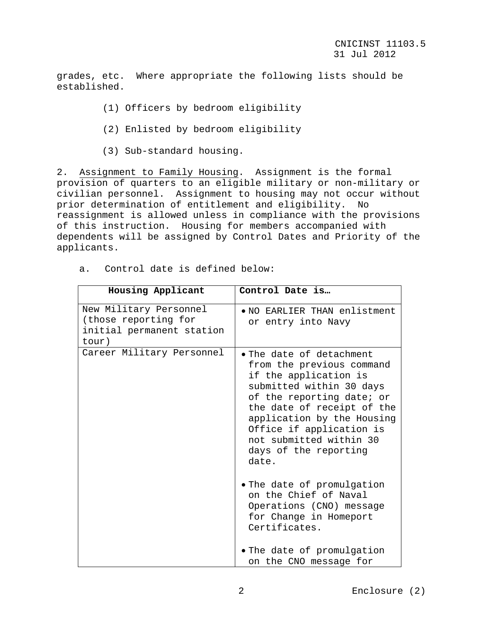grades, etc. Where appropriate the following lists should be established.

- (1) Officers by bedroom eligibility
- (2) Enlisted by bedroom eligibility
- (3) Sub-standard housing.

2. Assignment to Family Housing. Assignment is the formal provision of quarters to an eligible military or non-military or civilian personnel. Assignment to housing may not occur without prior determination of entitlement and eligibility. No reassignment is allowed unless in compliance with the provisions of this instruction. Housing for members accompanied with dependents will be assigned by Control Dates and Priority of the applicants.

a. Control date is defined below:

| Housing Applicant                                                                    | Control Date is                                                                                                                                                                                                                                                                                      |
|--------------------------------------------------------------------------------------|------------------------------------------------------------------------------------------------------------------------------------------------------------------------------------------------------------------------------------------------------------------------------------------------------|
| New Military Personnel<br>(those reporting for<br>initial permanent station<br>tour) | . NO EARLIER THAN enlistment<br>or entry into Navy                                                                                                                                                                                                                                                   |
| Career Military Personnel                                                            | $\bullet$ The date of detachment<br>from the previous command<br>if the application is<br>submitted within 30 days<br>of the reporting date; or<br>the date of receipt of the<br>application by the Housing<br>Office if application is<br>not submitted within 30<br>days of the reporting<br>date. |
|                                                                                      | . The date of promulgation<br>on the Chief of Naval<br>Operations (CNO) message<br>for Change in Homeport<br>Certificates.                                                                                                                                                                           |
|                                                                                      | . The date of promulgation<br>on the CNO message for                                                                                                                                                                                                                                                 |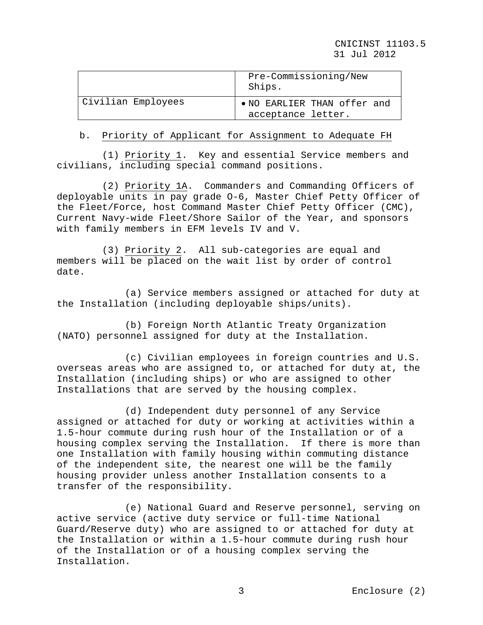|                    | Pre-Commissioning/New<br>Ships.                   |
|--------------------|---------------------------------------------------|
| Civilian Employees | • NO EARLIER THAN offer and<br>acceptance letter. |

### b. Priority of Applicant for Assignment to Adequate FH

 (1) Priority 1. Key and essential Service members and civilians, including special command positions.

 (2) Priority 1A. Commanders and Commanding Officers of deployable units in pay grade O-6, Master Chief Petty Officer of the Fleet/Force, host Command Master Chief Petty Officer (CMC), Current Navy-wide Fleet/Shore Sailor of the Year, and sponsors with family members in EFM levels IV and V.

 (3) Priority 2. All sub-categories are equal and members will be placed on the wait list by order of control date.

 (a) Service members assigned or attached for duty at the Installation (including deployable ships/units).

 (b) Foreign North Atlantic Treaty Organization (NATO) personnel assigned for duty at the Installation.

 (c) Civilian employees in foreign countries and U.S. overseas areas who are assigned to, or attached for duty at, the Installation (including ships) or who are assigned to other Installations that are served by the housing complex.

 (d) Independent duty personnel of any Service assigned or attached for duty or working at activities within a 1.5-hour commute during rush hour of the Installation or of a housing complex serving the Installation. If there is more than one Installation with family housing within commuting distance of the independent site, the nearest one will be the family housing provider unless another Installation consents to a transfer of the responsibility.

 (e) National Guard and Reserve personnel, serving on active service (active duty service or full-time National Guard/Reserve duty) who are assigned to or attached for duty at the Installation or within a 1.5-hour commute during rush hour of the Installation or of a housing complex serving the Installation.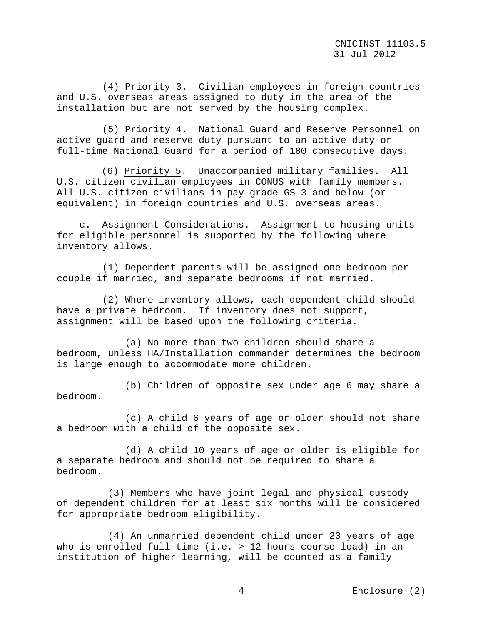(4) Priority 3. Civilian employees in foreign countries and U.S. overseas areas assigned to duty in the area of the installation but are not served by the housing complex.

 (5) Priority 4. National Guard and Reserve Personnel on active guard and reserve duty pursuant to an active duty or full-time National Guard for a period of 180 consecutive days.

 (6) Priority 5. Unaccompanied military families. All U.S. citizen civilian employees in CONUS with family members. All U.S. citizen civilians in pay grade GS-3 and below (or equivalent) in foreign countries and U.S. overseas areas.

 c. Assignment Considerations. Assignment to housing units for eligible personnel is supported by the following where inventory allows.

 (1) Dependent parents will be assigned one bedroom per couple if married, and separate bedrooms if not married.

 (2) Where inventory allows, each dependent child should have a private bedroom. If inventory does not support, assignment will be based upon the following criteria.

 (a) No more than two children should share a bedroom, unless HA/Installation commander determines the bedroom is large enough to accommodate more children.

 (b) Children of opposite sex under age 6 may share a bedroom.

 (c) A child 6 years of age or older should not share a bedroom with a child of the opposite sex.

 (d) A child 10 years of age or older is eligible for a separate bedroom and should not be required to share a bedroom.

 (3) Members who have joint legal and physical custody of dependent children for at least six months will be considered for appropriate bedroom eligibility.

 (4) An unmarried dependent child under 23 years of age who is enrolled full-time (i.e. > 12 hours course load) in an institution of higher learning, will be counted as a family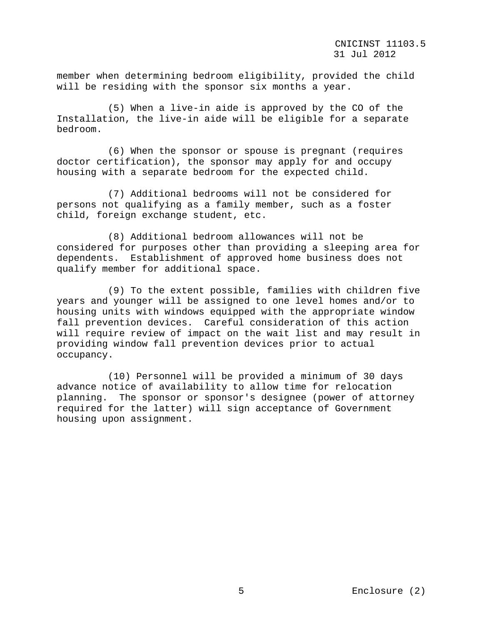member when determining bedroom eligibility, provided the child will be residing with the sponsor six months a year.

 (5) When a live-in aide is approved by the CO of the Installation, the live-in aide will be eligible for a separate bedroom.

 (6) When the sponsor or spouse is pregnant (requires doctor certification), the sponsor may apply for and occupy housing with a separate bedroom for the expected child.

 (7) Additional bedrooms will not be considered for persons not qualifying as a family member, such as a foster child, foreign exchange student, etc.

 (8) Additional bedroom allowances will not be considered for purposes other than providing a sleeping area for dependents. Establishment of approved home business does not qualify member for additional space.

 (9) To the extent possible, families with children five years and younger will be assigned to one level homes and/or to housing units with windows equipped with the appropriate window fall prevention devices. Careful consideration of this action will require review of impact on the wait list and may result in providing window fall prevention devices prior to actual occupancy.

 (10) Personnel will be provided a minimum of 30 days advance notice of availability to allow time for relocation planning. The sponsor or sponsor's designee (power of attorney required for the latter) will sign acceptance of Government housing upon assignment.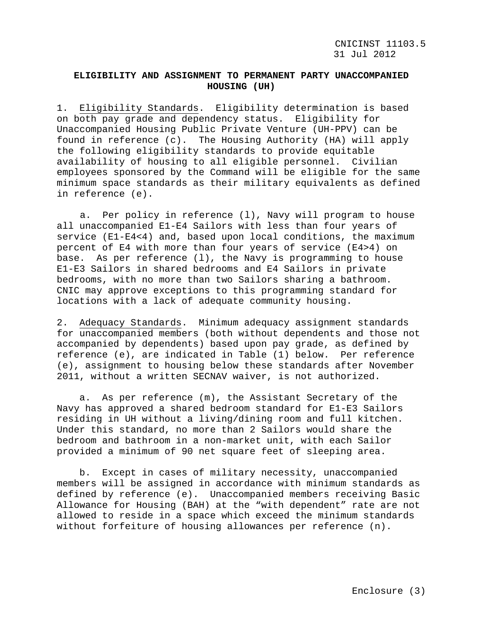# **ELIGIBILITY AND ASSIGNMENT TO PERMANENT PARTY UNACCOMPANIED HOUSING (UH)**

1. Eligibility Standards. Eligibility determination is based on both pay grade and dependency status. Eligibility for Unaccompanied Housing Public Private Venture (UH-PPV) can be found in reference (c). The Housing Authority (HA) will apply the following eligibility standards to provide equitable availability of housing to all eligible personnel. Civilian employees sponsored by the Command will be eligible for the same minimum space standards as their military equivalents as defined in reference (e).

a. Per policy in reference (l), Navy will program to house all unaccompanied E1-E4 Sailors with less than four years of service (E1-E4<4) and, based upon local conditions, the maximum percent of E4 with more than four years of service (E4>4) on base. As per reference  $(1)$ , the Navy is programming to house E1-E3 Sailors in shared bedrooms and E4 Sailors in private bedrooms, with no more than two Sailors sharing a bathroom. CNIC may approve exceptions to this programming standard for locations with a lack of adequate community housing.

2. Adequacy Standards. Minimum adequacy assignment standards for unaccompanied members (both without dependents and those not accompanied by dependents) based upon pay grade, as defined by reference (e), are indicated in Table (1) below. Per reference (e), assignment to housing below these standards after November 2011, without a written SECNAV waiver, is not authorized.

 a. As per reference (m), the Assistant Secretary of the Navy has approved a shared bedroom standard for E1-E3 Sailors residing in UH without a living/dining room and full kitchen. Under this standard, no more than 2 Sailors would share the bedroom and bathroom in a non-market unit, with each Sailor provided a minimum of 90 net square feet of sleeping area.

 b. Except in cases of military necessity, unaccompanied members will be assigned in accordance with minimum standards as defined by reference (e). Unaccompanied members receiving Basic Allowance for Housing (BAH) at the "with dependent" rate are not allowed to reside in a space which exceed the minimum standards without forfeiture of housing allowances per reference (n).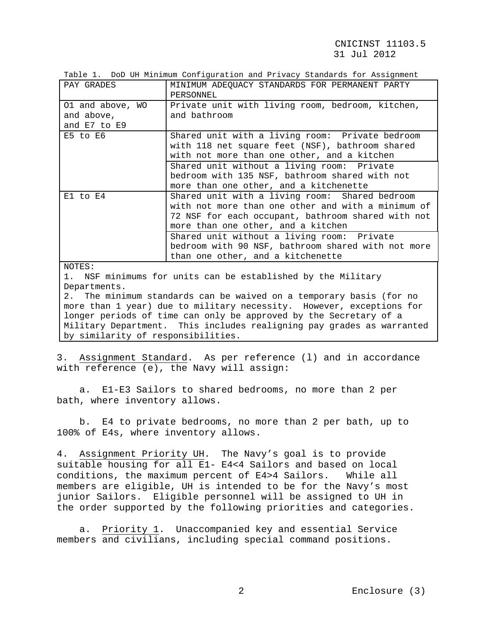## CNICINST 11103.5 31 Jul 2012

Table 1. DoD UH Minimum Configuration and Privacy Standards for Assignment

| PAY GRADES                                     | MINIMUM ADEQUACY STANDARDS FOR PERMANENT PARTY<br>PERSONNEL                                                                                                                                      |
|------------------------------------------------|--------------------------------------------------------------------------------------------------------------------------------------------------------------------------------------------------|
| 01 and above, WO<br>and above,<br>and E7 to E9 | Private unit with living room, bedroom, kitchen,<br>and bathroom                                                                                                                                 |
| $E5$ to $E6$                                   | Shared unit with a living room: Private bedroom<br>with 118 net square feet (NSF), bathroom shared<br>with not more than one other, and a kitchen                                                |
|                                                | Shared unit without a living room: Private<br>bedroom with 135 NSF, bathroom shared with not<br>more than one other, and a kitchenette                                                           |
| $E1$ to $E4$                                   | Shared unit with a living room: Shared bedroom<br>with not more than one other and with a minimum of<br>72 NSF for each occupant, bathroom shared with not<br>more than one other, and a kitchen |
| 370mm                                          | Shared unit without a living room: Private<br>bedroom with 90 NSF, bathroom shared with not more<br>than one other, and a kitchenette                                                            |

NOTES:

1. NSF minimums for units can be established by the Military Departments.

2. The minimum standards can be waived on a temporary basis (for no more than 1 year) due to military necessity. However, exceptions for longer periods of time can only be approved by the Secretary of a Military Department. This includes realigning pay grades as warranted by similarity of responsibilities.

3. Assignment Standard. As per reference (l) and in accordance with reference (e), the Navy will assign:

 a. E1-E3 Sailors to shared bedrooms, no more than 2 per bath, where inventory allows.

 b. E4 to private bedrooms, no more than 2 per bath, up to 100% of E4s, where inventory allows.

4. Assignment Priority UH. The Navy's goal is to provide suitable housing for all E1- E4<4 Sailors and based on local conditions, the maximum percent of E4>4 Sailors. While all conditions, the maximum percent of E4>4 Sailors. members are eligible, UH is intended to be for the Navy's most junior Sailors. Eligible personnel will be assigned to UH in the order supported by the following priorities and categories.

 a. Priority 1. Unaccompanied key and essential Service members and civilians, including special command positions.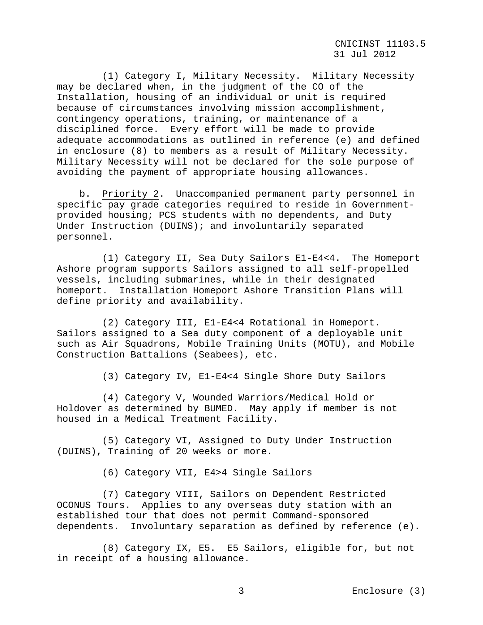(1) Category I, Military Necessity. Military Necessity may be declared when, in the judgment of the CO of the Installation, housing of an individual or unit is required because of circumstances involving mission accomplishment, contingency operations, training, or maintenance of a disciplined force. Every effort will be made to provide adequate accommodations as outlined in reference (e) and defined in enclosure (8) to members as a result of Military Necessity. Military Necessity will not be declared for the sole purpose of avoiding the payment of appropriate housing allowances.

 b. Priority 2. Unaccompanied permanent party personnel in specific pay grade categories required to reside in Governmentprovided housing; PCS students with no dependents, and Duty Under Instruction (DUINS); and involuntarily separated personnel.

 (1) Category II, Sea Duty Sailors E1-E4<4. The Homeport Ashore program supports Sailors assigned to all self-propelled vessels, including submarines, while in their designated homeport. Installation Homeport Ashore Transition Plans will define priority and availability.

 (2) Category III, E1-E4<4 Rotational in Homeport. Sailors assigned to a Sea duty component of a deployable unit such as Air Squadrons, Mobile Training Units (MOTU), and Mobile Construction Battalions (Seabees), etc.

(3) Category IV, E1-E4<4 Single Shore Duty Sailors

 (4) Category V, Wounded Warriors/Medical Hold or Holdover as determined by BUMED. May apply if member is not housed in a Medical Treatment Facility.

 (5) Category VI, Assigned to Duty Under Instruction (DUINS), Training of 20 weeks or more.

(6) Category VII, E4>4 Single Sailors

 (7) Category VIII, Sailors on Dependent Restricted OCONUS Tours. Applies to any overseas duty station with an established tour that does not permit Command-sponsored dependents. Involuntary separation as defined by reference (e).

 (8) Category IX, E5. E5 Sailors, eligible for, but not in receipt of a housing allowance.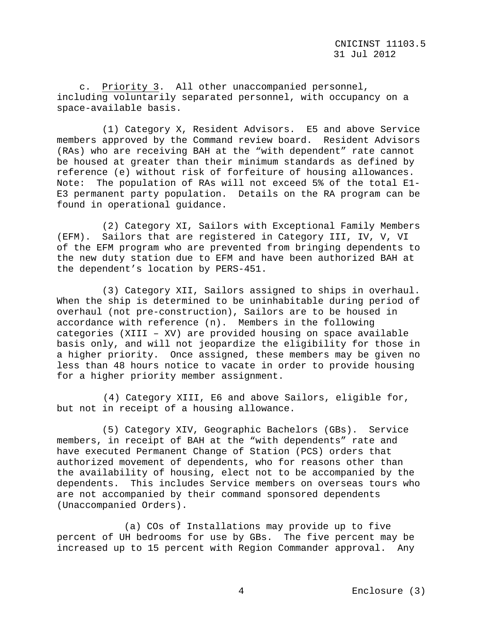c. Priority 3. All other unaccompanied personnel, including voluntarily separated personnel, with occupancy on a space-available basis.

 (1) Category X, Resident Advisors. E5 and above Service members approved by the Command review board. Resident Advisors (RAs) who are receiving BAH at the "with dependent" rate cannot be housed at greater than their minimum standards as defined by reference (e) without risk of forfeiture of housing allowances. Note: The population of RAs will not exceed 5% of the total E1- E3 permanent party population. Details on the RA program can be found in operational guidance.

 (2) Category XI, Sailors with Exceptional Family Members (EFM). Sailors that are registered in Category III, IV, V, VI of the EFM program who are prevented from bringing dependents to the new duty station due to EFM and have been authorized BAH at the dependent's location by PERS-451.

 (3) Category XII, Sailors assigned to ships in overhaul. When the ship is determined to be uninhabitable during period of overhaul (not pre-construction), Sailors are to be housed in accordance with reference (n). Members in the following categories (XIII – XV) are provided housing on space available basis only, and will not jeopardize the eligibility for those in a higher priority. Once assigned, these members may be given no less than 48 hours notice to vacate in order to provide housing for a higher priority member assignment.

(4) Category XIII, E6 and above Sailors, eligible for, but not in receipt of a housing allowance.

 (5) Category XIV, Geographic Bachelors (GBs). Service members, in receipt of BAH at the "with dependents" rate and have executed Permanent Change of Station (PCS) orders that authorized movement of dependents, who for reasons other than the availability of housing, elect not to be accompanied by the dependents. This includes Service members on overseas tours who are not accompanied by their command sponsored dependents (Unaccompanied Orders).

(a) COs of Installations may provide up to five percent of UH bedrooms for use by GBs. The five percent may be increased up to 15 percent with Region Commander approval. Any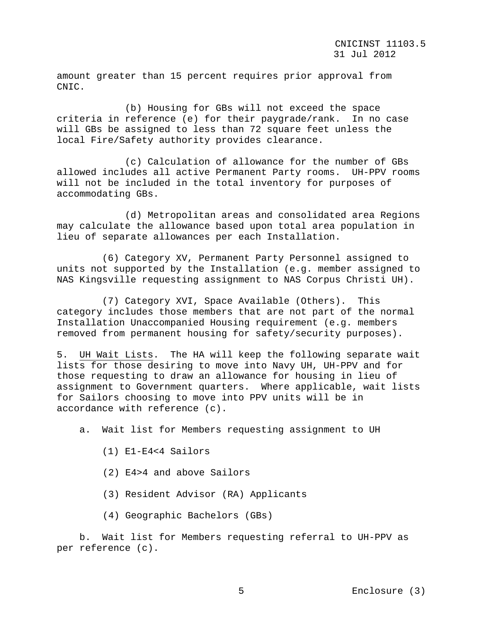amount greater than 15 percent requires prior approval from CNIC.

 (b) Housing for GBs will not exceed the space criteria in reference (e) for their paygrade/rank. In no case will GBs be assigned to less than 72 square feet unless the local Fire/Safety authority provides clearance.

 (c) Calculation of allowance for the number of GBs allowed includes all active Permanent Party rooms. UH-PPV rooms will not be included in the total inventory for purposes of accommodating GBs.

 (d) Metropolitan areas and consolidated area Regions may calculate the allowance based upon total area population in lieu of separate allowances per each Installation.

 (6) Category XV, Permanent Party Personnel assigned to units not supported by the Installation (e.g. member assigned to NAS Kingsville requesting assignment to NAS Corpus Christi UH).

 (7) Category XVI, Space Available (Others). This category includes those members that are not part of the normal Installation Unaccompanied Housing requirement (e.g. members removed from permanent housing for safety/security purposes).

5. UH Wait Lists. The HA will keep the following separate wait lists for those desiring to move into Navy UH, UH-PPV and for those requesting to draw an allowance for housing in lieu of assignment to Government quarters. Where applicable, wait lists for Sailors choosing to move into PPV units will be in accordance with reference (c).

- a. Wait list for Members requesting assignment to UH
	- (1) E1-E4<4 Sailors
	- (2) E4>4 and above Sailors
	- (3) Resident Advisor (RA) Applicants
	- (4) Geographic Bachelors (GBs)

 b. Wait list for Members requesting referral to UH-PPV as per reference (c).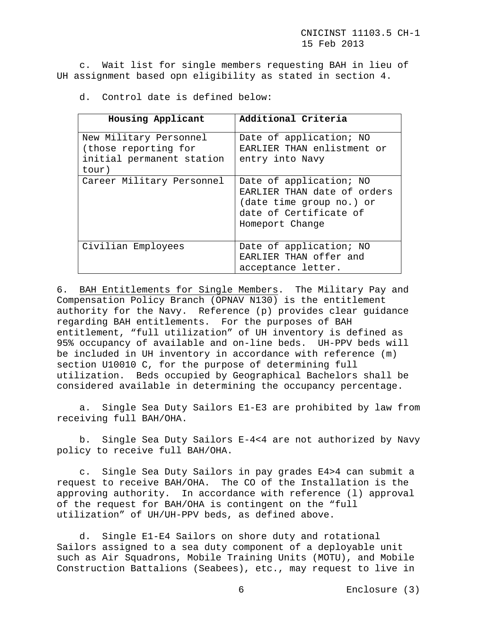c. Wait list for single members requesting BAH in lieu of UH assignment based opn eligibility as stated in section 4.

d. Control date is defined below:

| Housing Applicant                                                                    | Additional Criteria                                                                                                             |
|--------------------------------------------------------------------------------------|---------------------------------------------------------------------------------------------------------------------------------|
| New Military Personnel<br>(those reporting for<br>initial permanent station<br>tour) | Date of application; NO<br>EARLIER THAN enlistment or<br>entry into Navy                                                        |
| Career Military Personnel                                                            | Date of application; NO<br>EARLIER THAN date of orders<br>(date time group no.) or<br>date of Certificate of<br>Homeport Change |
| Civilian Employees                                                                   | Date of application; NO<br>EARLIER THAN offer and<br>acceptance letter.                                                         |

6. BAH Entitlements for Single Members. The Military Pay and Compensation Policy Branch (OPNAV N130) is the entitlement authority for the Navy. Reference (p) provides clear guidance regarding BAH entitlements. For the purposes of BAH entitlement, "full utilization" of UH inventory is defined as 95% occupancy of available and on-line beds. UH-PPV beds will be included in UH inventory in accordance with reference (m) section U10010 C, for the purpose of determining full utilization. Beds occupied by Geographical Bachelors shall be considered available in determining the occupancy percentage.

 a. Single Sea Duty Sailors E1-E3 are prohibited by law from receiving full BAH/OHA.

 b. Single Sea Duty Sailors E-4<4 are not authorized by Navy policy to receive full BAH/OHA.

 c. Single Sea Duty Sailors in pay grades E4>4 can submit a request to receive BAH/OHA. The CO of the Installation is the approving authority. In accordance with reference (l) approval of the request for BAH/OHA is contingent on the "full utilization" of UH/UH-PPV beds, as defined above.

 d. Single E1-E4 Sailors on shore duty and rotational Sailors assigned to a sea duty component of a deployable unit such as Air Squadrons, Mobile Training Units (MOTU), and Mobile Construction Battalions (Seabees), etc., may request to live in

6 Enclosure (3)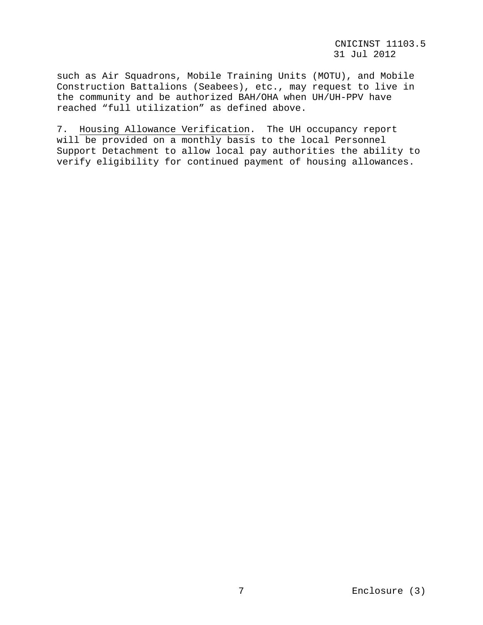such as Air Squadrons, Mobile Training Units (MOTU), and Mobile Construction Battalions (Seabees), etc., may request to live in the community and be authorized BAH/OHA when UH/UH-PPV have reached "full utilization" as defined above.

7. Housing Allowance Verification. The UH occupancy report will be provided on a monthly basis to the local Personnel Support Detachment to allow local pay authorities the ability to verify eligibility for continued payment of housing allowances.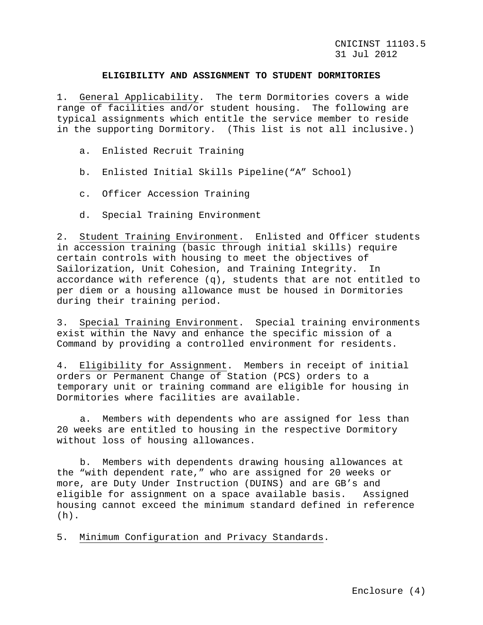### **ELIGIBILITY AND ASSIGNMENT TO STUDENT DORMITORIES**

1. General Applicability. The term Dormitories covers a wide range of facilities and/or student housing. The following are typical assignments which entitle the service member to reside in the supporting Dormitory. (This list is not all inclusive.)

- a. Enlisted Recruit Training
- b. Enlisted Initial Skills Pipeline("A" School)
- c. Officer Accession Training
- d. Special Training Environment

2. Student Training Environment. Enlisted and Officer students in accession training (basic through initial skills) require certain controls with housing to meet the objectives of Sailorization, Unit Cohesion, and Training Integrity. In accordance with reference (q), students that are not entitled to per diem or a housing allowance must be housed in Dormitories during their training period.

3. Special Training Environment. Special training environments exist within the Navy and enhance the specific mission of a Command by providing a controlled environment for residents.

4. Eligibility for Assignment. Members in receipt of initial orders or Permanent Change of Station (PCS) orders to a temporary unit or training command are eligible for housing in Dormitories where facilities are available.

a. Members with dependents who are assigned for less than 20 weeks are entitled to housing in the respective Dormitory without loss of housing allowances.

b. Members with dependents drawing housing allowances at the "with dependent rate," who are assigned for 20 weeks or more, are Duty Under Instruction (DUINS) and are GB's and<br>eligible for assignment on a space available basis. Assigned eligible for assignment on a space available basis. housing cannot exceed the minimum standard defined in reference  $(h)$ .

5. Minimum Configuration and Privacy Standards.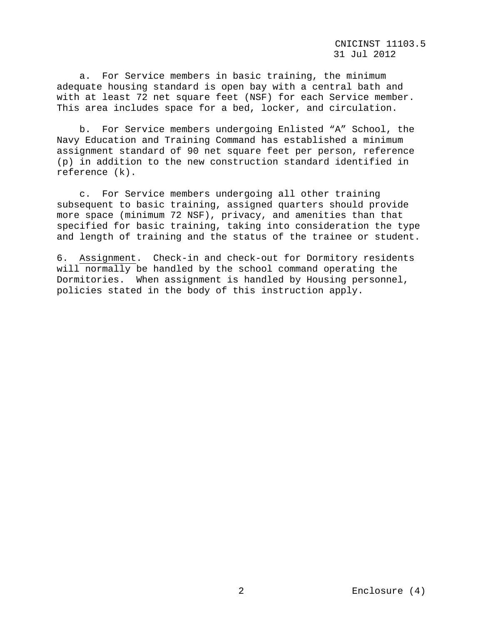CNICINST 11103.5 31 Jul 2012

 a. For Service members in basic training, the minimum adequate housing standard is open bay with a central bath and with at least 72 net square feet (NSF) for each Service member. This area includes space for a bed, locker, and circulation.

 b. For Service members undergoing Enlisted "A" School, the Navy Education and Training Command has established a minimum assignment standard of 90 net square feet per person, reference (p) in addition to the new construction standard identified in reference (k).

 c. For Service members undergoing all other training subsequent to basic training, assigned quarters should provide more space (minimum 72 NSF), privacy, and amenities than that specified for basic training, taking into consideration the type and length of training and the status of the trainee or student.

6. Assignment. Check-in and check-out for Dormitory residents will normally be handled by the school command operating the Dormitories. When assignment is handled by Housing personnel, policies stated in the body of this instruction apply.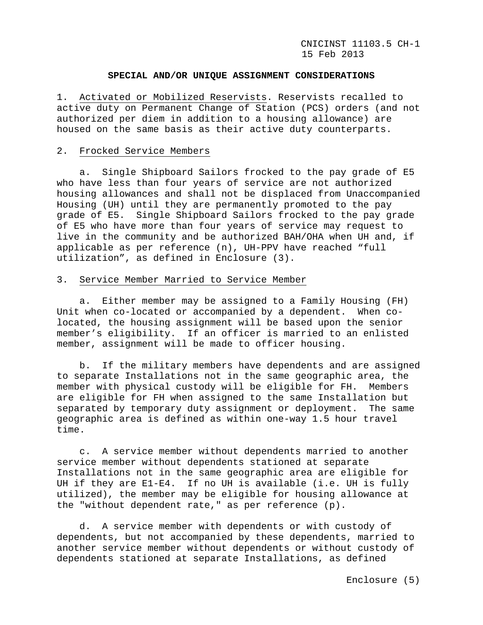### **SPECIAL AND/OR UNIQUE ASSIGNMENT CONSIDERATIONS**

1. Activated or Mobilized Reservists. Reservists recalled to active duty on Permanent Change of Station (PCS) orders (and not authorized per diem in addition to a housing allowance) are housed on the same basis as their active duty counterparts.

### 2. Frocked Service Members

 a. Single Shipboard Sailors frocked to the pay grade of E5 who have less than four years of service are not authorized housing allowances and shall not be displaced from Unaccompanied Housing (UH) until they are permanently promoted to the pay grade of E5. Single Shipboard Sailors frocked to the pay grade of E5 who have more than four years of service may request to live in the community and be authorized BAH/OHA when UH and, if applicable as per reference (n), UH-PPV have reached "full utilization", as defined in Enclosure (3).

#### 3. Service Member Married to Service Member

 a. Either member may be assigned to a Family Housing (FH) Unit when co-located or accompanied by a dependent. When colocated, the housing assignment will be based upon the senior member's eligibility. If an officer is married to an enlisted member, assignment will be made to officer housing.

 b. If the military members have dependents and are assigned to separate Installations not in the same geographic area, the member with physical custody will be eligible for FH. Members are eligible for FH when assigned to the same Installation but<br>separated by temporary duty assignment or deployment. The same separated by temporary duty assignment or deployment. geographic area is defined as within one-way 1.5 hour travel time.

 c. A service member without dependents married to another service member without dependents stationed at separate Installations not in the same geographic area are eligible for UH if they are E1-E4. If no UH is available (i.e. UH is fully utilized), the member may be eligible for housing allowance at the "without dependent rate," as per reference (p).

 d. A service member with dependents or with custody of dependents, but not accompanied by these dependents, married to another service member without dependents or without custody of dependents stationed at separate Installations, as defined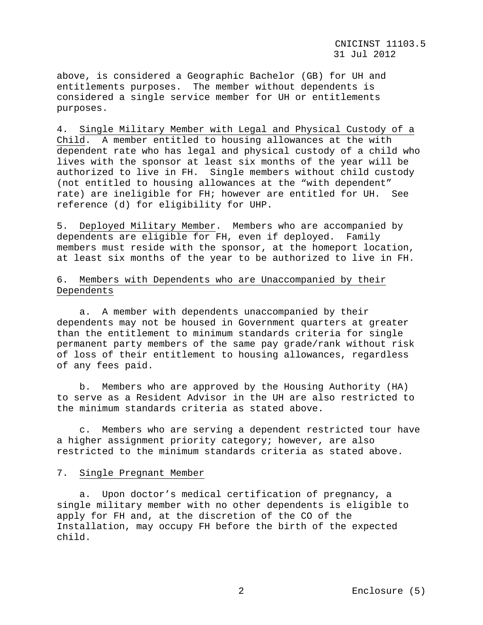above, is considered a Geographic Bachelor (GB) for UH and entitlements purposes. The member without dependents is considered a single service member for UH or entitlements purposes.

4. Single Military Member with Legal and Physical Custody of a Child. A member entitled to housing allowances at the with dependent rate who has legal and physical custody of a child who lives with the sponsor at least six months of the year will be authorized to live in FH. Single members without child custody (not entitled to housing allowances at the "with dependent" rate) are ineligible for FH; however are entitled for UH. See reference (d) for eligibility for UHP.

5. Deployed Military Member. Members who are accompanied by dependents are eligible for FH, even if deployed. Family members must reside with the sponsor, at the homeport location, at least six months of the year to be authorized to live in FH.

# 6. Members with Dependents who are Unaccompanied by their Dependents

 a. A member with dependents unaccompanied by their dependents may not be housed in Government quarters at greater than the entitlement to minimum standards criteria for single permanent party members of the same pay grade/rank without risk of loss of their entitlement to housing allowances, regardless of any fees paid.

 b. Members who are approved by the Housing Authority (HA) to serve as a Resident Advisor in the UH are also restricted to the minimum standards criteria as stated above.

 c. Members who are serving a dependent restricted tour have a higher assignment priority category; however, are also restricted to the minimum standards criteria as stated above.

### 7. Single Pregnant Member

 a. Upon doctor's medical certification of pregnancy, a single military member with no other dependents is eligible to apply for FH and, at the discretion of the CO of the Installation, may occupy FH before the birth of the expected child.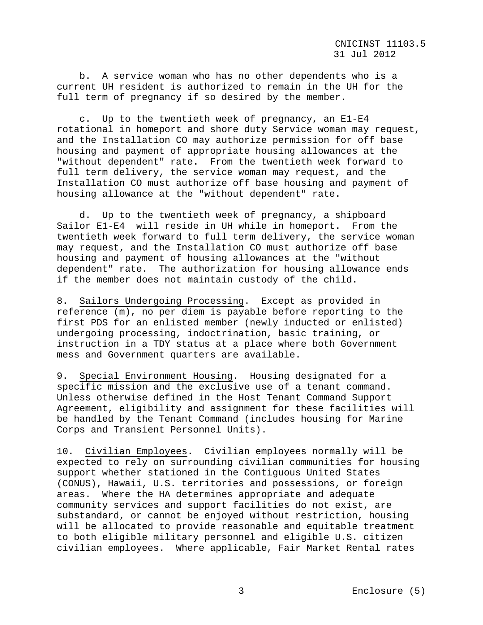b. A service woman who has no other dependents who is a current UH resident is authorized to remain in the UH for the full term of pregnancy if so desired by the member.

 c. Up to the twentieth week of pregnancy, an E1-E4 rotational in homeport and shore duty Service woman may request, and the Installation CO may authorize permission for off base housing and payment of appropriate housing allowances at the "without dependent" rate. From the twentieth week forward to full term delivery, the service woman may request, and the Installation CO must authorize off base housing and payment of housing allowance at the "without dependent" rate.

 d. Up to the twentieth week of pregnancy, a shipboard Sailor E1-E4 will reside in UH while in homeport. From the twentieth week forward to full term delivery, the service woman may request, and the Installation CO must authorize off base housing and payment of housing allowances at the "without dependent" rate. The authorization for housing allowance ends if the member does not maintain custody of the child.

8. Sailors Undergoing Processing. Except as provided in reference (m), no per diem is payable before reporting to the first PDS for an enlisted member (newly inducted or enlisted) undergoing processing, indoctrination, basic training, or instruction in a TDY status at a place where both Government mess and Government quarters are available.

9. Special Environment Housing. Housing designated for a specific mission and the exclusive use of a tenant command. Unless otherwise defined in the Host Tenant Command Support Agreement, eligibility and assignment for these facilities will be handled by the Tenant Command (includes housing for Marine Corps and Transient Personnel Units).

10. Civilian Employees. Civilian employees normally will be expected to rely on surrounding civilian communities for housing support whether stationed in the Contiguous United States (CONUS), Hawaii, U.S. territories and possessions, or foreign areas. Where the HA determines appropriate and adequate community services and support facilities do not exist, are substandard, or cannot be enjoyed without restriction, housing will be allocated to provide reasonable and equitable treatment to both eligible military personnel and eligible U.S. citizen civilian employees. Where applicable, Fair Market Rental rates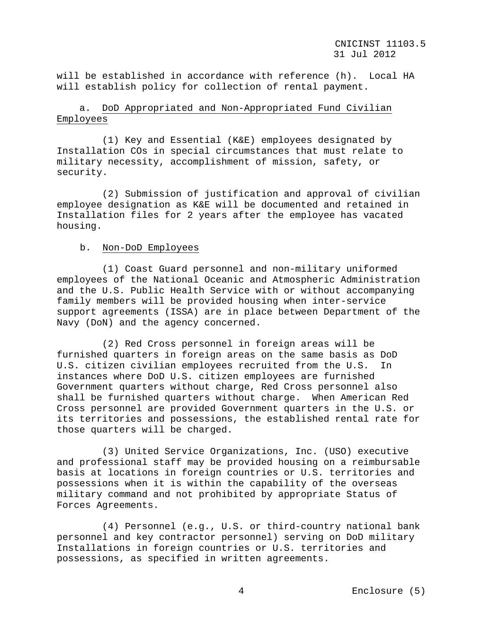will be established in accordance with reference (h). Local HA will establish policy for collection of rental payment.

# a. DoD Appropriated and Non-Appropriated Fund Civilian Employees

 (1) Key and Essential (K&E) employees designated by Installation COs in special circumstances that must relate to military necessity, accomplishment of mission, safety, or security.

 (2) Submission of justification and approval of civilian employee designation as K&E will be documented and retained in Installation files for 2 years after the employee has vacated housing.

## b. Non-DoD Employees

 (1) Coast Guard personnel and non-military uniformed employees of the National Oceanic and Atmospheric Administration and the U.S. Public Health Service with or without accompanying family members will be provided housing when inter-service support agreements (ISSA) are in place between Department of the Navy (DoN) and the agency concerned.

 (2) Red Cross personnel in foreign areas will be furnished quarters in foreign areas on the same basis as DoD U.S. citizen civilian employees recruited from the U.S. In instances where DoD U.S. citizen employees are furnished Government quarters without charge, Red Cross personnel also shall be furnished quarters without charge. When American Red Cross personnel are provided Government quarters in the U.S. or its territories and possessions, the established rental rate for those quarters will be charged.

 (3) United Service Organizations, Inc. (USO) executive and professional staff may be provided housing on a reimbursable basis at locations in foreign countries or U.S. territories and possessions when it is within the capability of the overseas military command and not prohibited by appropriate Status of Forces Agreements.

 (4) Personnel (e.g., U.S. or third-country national bank personnel and key contractor personnel) serving on DoD military Installations in foreign countries or U.S. territories and possessions, as specified in written agreements.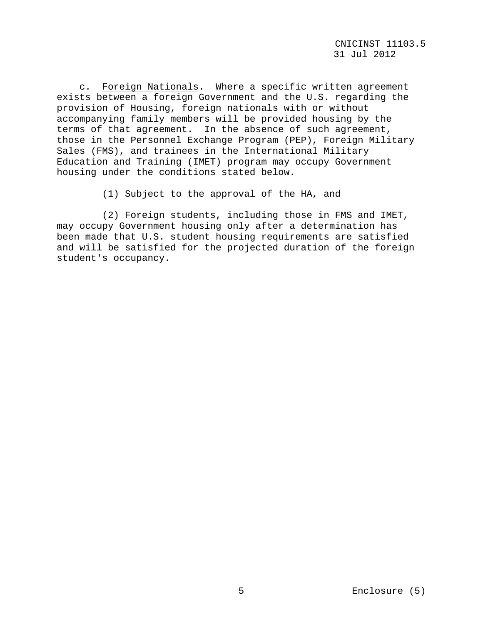c. Foreign Nationals. Where a specific written agreement exists between a foreign Government and the U.S. regarding the provision of Housing, foreign nationals with or without accompanying family members will be provided housing by the terms of that agreement. In the absence of such agreement, those in the Personnel Exchange Program (PEP), Foreign Military Sales (FMS), and trainees in the International Military Education and Training (IMET) program may occupy Government housing under the conditions stated below.

(1) Subject to the approval of the HA, and

 (2) Foreign students, including those in FMS and IMET, may occupy Government housing only after a determination has been made that U.S. student housing requirements are satisfied and will be satisfied for the projected duration of the foreign student's occupancy.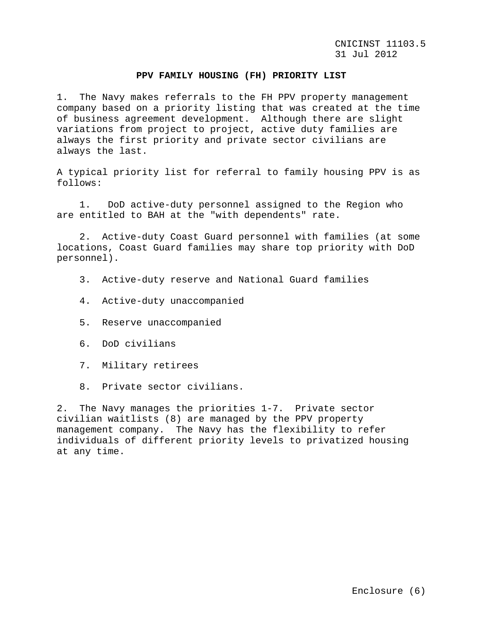#### **PPV FAMILY HOUSING (FH) PRIORITY LIST**

1. The Navy makes referrals to the FH PPV property management company based on a priority listing that was created at the time of business agreement development. Although there are slight variations from project to project, active duty families are always the first priority and private sector civilians are always the last.

A typical priority list for referral to family housing PPV is as follows:

 1. DoD active-duty personnel assigned to the Region who are entitled to BAH at the "with dependents" rate.

 2. Active-duty Coast Guard personnel with families (at some locations, Coast Guard families may share top priority with DoD personnel).

- 3. Active-duty reserve and National Guard families
- 4. Active-duty unaccompanied
- 5. Reserve unaccompanied
- 6. DoD civilians
- 7. Military retirees
- 8. Private sector civilians.

2. The Navy manages the priorities 1-7. Private sector civilian waitlists (8) are managed by the PPV property management company. The Navy has the flexibility to refer individuals of different priority levels to privatized housing at any time.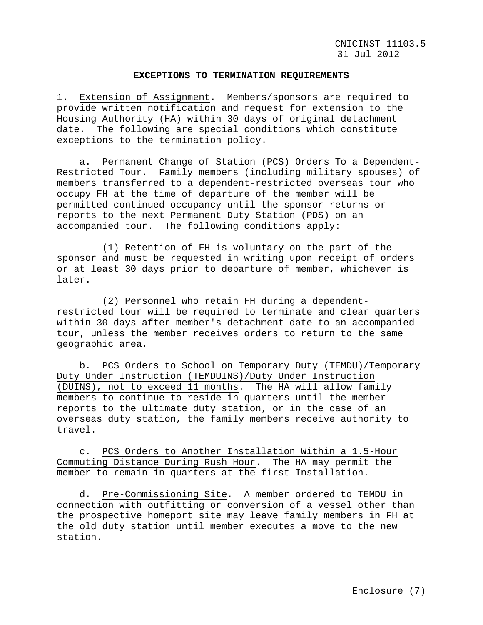#### **EXCEPTIONS TO TERMINATION REQUIREMENTS**

1. Extension of Assignment. Members/sponsors are required to provide written notification and request for extension to the Housing Authority (HA) within 30 days of original detachment date. The following are special conditions which constitute exceptions to the termination policy.

 a. Permanent Change of Station (PCS) Orders To a Dependent-Restricted Tour. Family members (including military spouses) of members transferred to a dependent-restricted overseas tour who occupy FH at the time of departure of the member will be permitted continued occupancy until the sponsor returns or reports to the next Permanent Duty Station (PDS) on an accompanied tour. The following conditions apply:

 (1) Retention of FH is voluntary on the part of the sponsor and must be requested in writing upon receipt of orders or at least 30 days prior to departure of member, whichever is later.

 (2) Personnel who retain FH during a dependentrestricted tour will be required to terminate and clear quarters within 30 days after member's detachment date to an accompanied tour, unless the member receives orders to return to the same geographic area.

 b. PCS Orders to School on Temporary Duty (TEMDU)/Temporary Duty Under Instruction (TEMDUINS)/Duty Under Instruction (DUINS), not to exceed 11 months. The HA will allow family members to continue to reside in quarters until the member reports to the ultimate duty station, or in the case of an overseas duty station, the family members receive authority to travel.

 c. PCS Orders to Another Installation Within a 1.5-Hour Commuting Distance During Rush Hour. The HA may permit the member to remain in quarters at the first Installation.

 d. Pre-Commissioning Site. A member ordered to TEMDU in connection with outfitting or conversion of a vessel other than the prospective homeport site may leave family members in FH at the old duty station until member executes a move to the new station.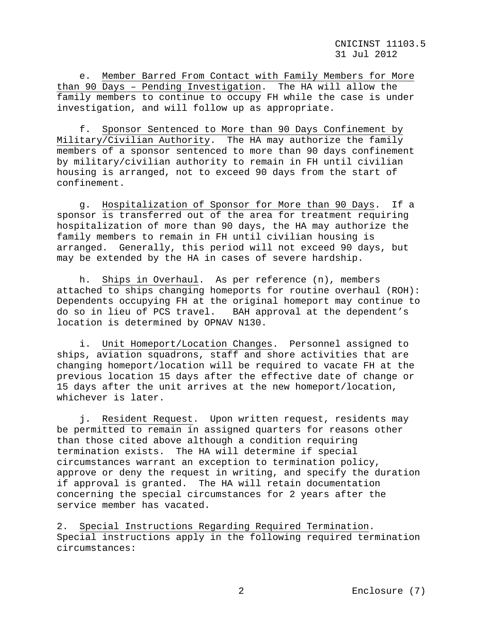CNICINST 11103.5 31 Jul 2012

 e. Member Barred From Contact with Family Members for More than 90 Days – Pending Investigation. The HA will allow the family members to continue to occupy FH while the case is under investigation, and will follow up as appropriate.

 f. Sponsor Sentenced to More than 90 Days Confinement by Military/Civilian Authority. The HA may authorize the family members of a sponsor sentenced to more than 90 days confinement by military/civilian authority to remain in FH until civilian housing is arranged, not to exceed 90 days from the start of confinement.

 g. Hospitalization of Sponsor for More than 90 Days. If a sponsor is transferred out of the area for treatment requiring hospitalization of more than 90 days, the HA may authorize the family members to remain in FH until civilian housing is arranged. Generally, this period will not exceed 90 days, but may be extended by the HA in cases of severe hardship.

 h. Ships in Overhaul. As per reference (n), members attached to ships changing homeports for routine overhaul (ROH): Dependents occupying FH at the original homeport may continue to<br>do so in lieu of PCS travel. BAH approval at the dependent's BAH approval at the dependent's location is determined by OPNAV N130.

 i. Unit Homeport/Location Changes. Personnel assigned to ships, aviation squadrons, staff and shore activities that are changing homeport/location will be required to vacate FH at the previous location 15 days after the effective date of change or 15 days after the unit arrives at the new homeport/location, whichever is later.

 j. Resident Request. Upon written request, residents may be permitted to remain in assigned quarters for reasons other than those cited above although a condition requiring termination exists. The HA will determine if special circumstances warrant an exception to termination policy, approve or deny the request in writing, and specify the duration if approval is granted. The HA will retain documentation concerning the special circumstances for 2 years after the service member has vacated.

2. Special Instructions Regarding Required Termination. Special instructions apply in the following required termination circumstances: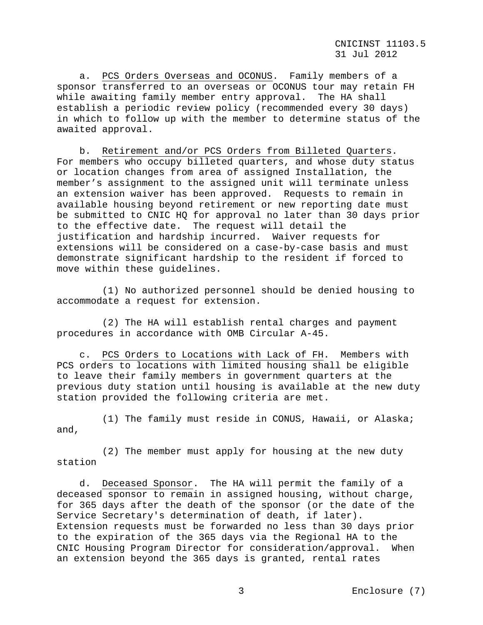CNICINST 11103.5 31 Jul 2012

 a. PCS Orders Overseas and OCONUS. Family members of a sponsor transferred to an overseas or OCONUS tour may retain FH while awaiting family member entry approval. The HA shall establish a periodic review policy (recommended every 30 days) in which to follow up with the member to determine status of the awaited approval.

 b. Retirement and/or PCS Orders from Billeted Quarters. For members who occupy billeted quarters, and whose duty status or location changes from area of assigned Installation, the member's assignment to the assigned unit will terminate unless an extension waiver has been approved. Requests to remain in available housing beyond retirement or new reporting date must be submitted to CNIC HQ for approval no later than 30 days prior to the effective date. The request will detail the justification and hardship incurred. Waiver requests for extensions will be considered on a case-by-case basis and must demonstrate significant hardship to the resident if forced to move within these guidelines.

 (1) No authorized personnel should be denied housing to accommodate a request for extension.

 (2) The HA will establish rental charges and payment procedures in accordance with OMB Circular A-45.

 c. PCS Orders to Locations with Lack of FH. Members with PCS orders to locations with limited housing shall be eligible to leave their family members in government quarters at the previous duty station until housing is available at the new duty station provided the following criteria are met.

 (1) The family must reside in CONUS, Hawaii, or Alaska; and,

 (2) The member must apply for housing at the new duty station

 d. Deceased Sponsor. The HA will permit the family of a deceased sponsor to remain in assigned housing, without charge, for 365 days after the death of the sponsor (or the date of the Service Secretary's determination of death, if later). Extension requests must be forwarded no less than 30 days prior to the expiration of the 365 days via the Regional HA to the CNIC Housing Program Director for consideration/approval. When an extension beyond the 365 days is granted, rental rates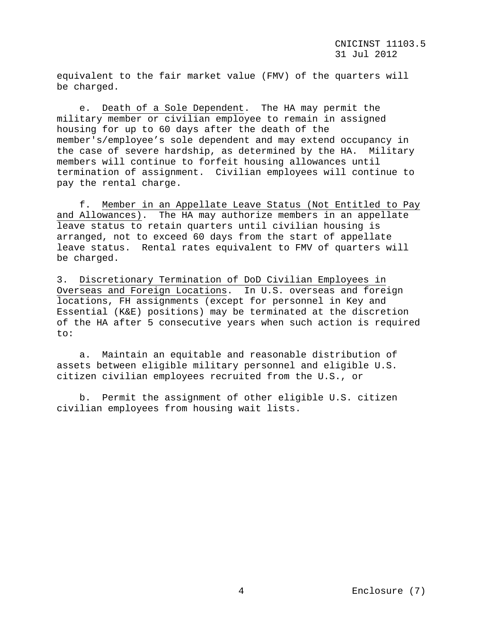equivalent to the fair market value (FMV) of the quarters will be charged.

 e. Death of a Sole Dependent. The HA may permit the military member or civilian employee to remain in assigned housing for up to 60 days after the death of the member's/employee's sole dependent and may extend occupancy in the case of severe hardship, as determined by the HA. Military members will continue to forfeit housing allowances until termination of assignment. Civilian employees will continue to pay the rental charge.

 f. Member in an Appellate Leave Status (Not Entitled to Pay and Allowances). The HA may authorize members in an appellate leave status to retain quarters until civilian housing is arranged, not to exceed 60 days from the start of appellate leave status. Rental rates equivalent to FMV of quarters will be charged.

3. Discretionary Termination of DoD Civilian Employees in Overseas and Foreign Locations. In U.S. overseas and foreign locations, FH assignments (except for personnel in Key and Essential (K&E) positions) may be terminated at the discretion of the HA after 5 consecutive years when such action is required to:

 a. Maintain an equitable and reasonable distribution of assets between eligible military personnel and eligible U.S. citizen civilian employees recruited from the U.S., or

 b. Permit the assignment of other eligible U.S. citizen civilian employees from housing wait lists.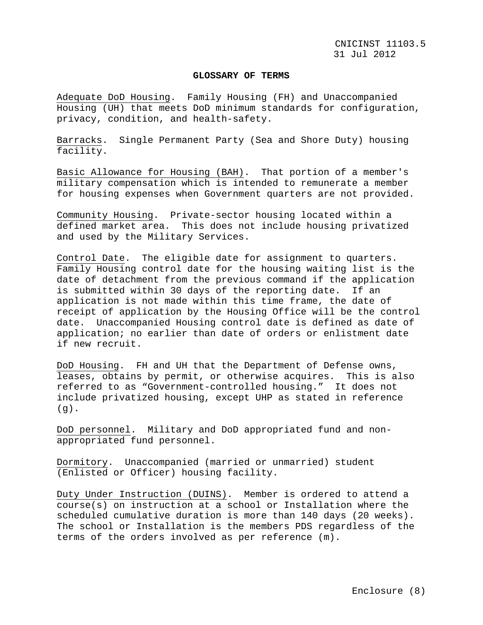#### **GLOSSARY OF TERMS**

Adequate DoD Housing. Family Housing (FH) and Unaccompanied Housing (UH) that meets DoD minimum standards for configuration, privacy, condition, and health-safety.

Barracks. Single Permanent Party (Sea and Shore Duty) housing facility.

Basic Allowance for Housing (BAH). That portion of a member's military compensation which is intended to remunerate a member for housing expenses when Government quarters are not provided.

Community Housing. Private-sector housing located within a defined market area. This does not include housing privatized and used by the Military Services.

Control Date. The eligible date for assignment to quarters. Family Housing control date for the housing waiting list is the date of detachment from the previous command if the application is submitted within 30 days of the reporting date. If an application is not made within this time frame, the date of receipt of application by the Housing Office will be the control date. Unaccompanied Housing control date is defined as date of application; no earlier than date of orders or enlistment date if new recruit.

DoD Housing. FH and UH that the Department of Defense owns, leases, obtains by permit, or otherwise acquires. This is also referred to as "Government-controlled housing." It does not include privatized housing, except UHP as stated in reference  $(q)$ .

DoD personnel. Military and DoD appropriated fund and nonappropriated fund personnel.

Dormitory. Unaccompanied (married or unmarried) student (Enlisted or Officer) housing facility.

Duty Under Instruction (DUINS). Member is ordered to attend a course(s) on instruction at a school or Installation where the scheduled cumulative duration is more than 140 days (20 weeks). The school or Installation is the members PDS regardless of the terms of the orders involved as per reference (m).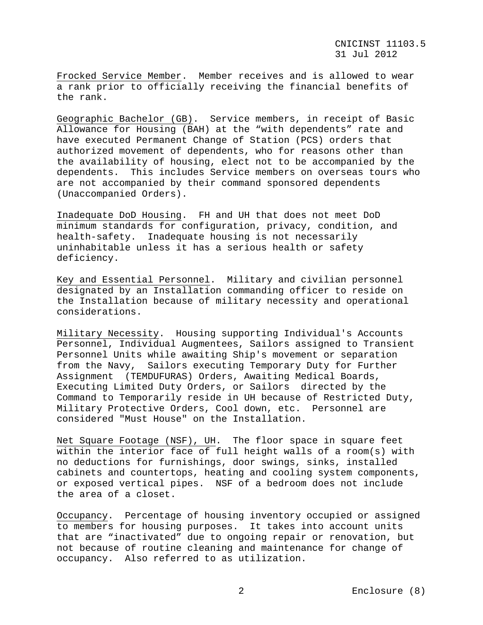Frocked Service Member. Member receives and is allowed to wear a rank prior to officially receiving the financial benefits of the rank.

Geographic Bachelor (GB). Service members, in receipt of Basic Allowance for Housing (BAH) at the "with dependents" rate and have executed Permanent Change of Station (PCS) orders that authorized movement of dependents, who for reasons other than the availability of housing, elect not to be accompanied by the dependents. This includes Service members on overseas tours who are not accompanied by their command sponsored dependents (Unaccompanied Orders).

Inadequate DoD Housing. FH and UH that does not meet DoD minimum standards for configuration, privacy, condition, and health-safety. Inadequate housing is not necessarily uninhabitable unless it has a serious health or safety deficiency.

Key and Essential Personnel. Military and civilian personnel designated by an Installation commanding officer to reside on the Installation because of military necessity and operational considerations.

Military Necessity. Housing supporting Individual's Accounts Personnel, Individual Augmentees, Sailors assigned to Transient Personnel Units while awaiting Ship's movement or separation from the Navy, Sailors executing Temporary Duty for Further Assignment (TEMDUFURAS) Orders, Awaiting Medical Boards, Executing Limited Duty Orders, or Sailors directed by the Command to Temporarily reside in UH because of Restricted Duty, Military Protective Orders, Cool down, etc. Personnel are considered "Must House" on the Installation.

Net Square Footage (NSF), UH. The floor space in square feet within the interior face of full height walls of a room(s) with no deductions for furnishings, door swings, sinks, installed cabinets and countertops, heating and cooling system components, or exposed vertical pipes. NSF of a bedroom does not include the area of a closet.

Occupancy. Percentage of housing inventory occupied or assigned to members for housing purposes. It takes into account units that are "inactivated" due to ongoing repair or renovation, but not because of routine cleaning and maintenance for change of occupancy. Also referred to as utilization.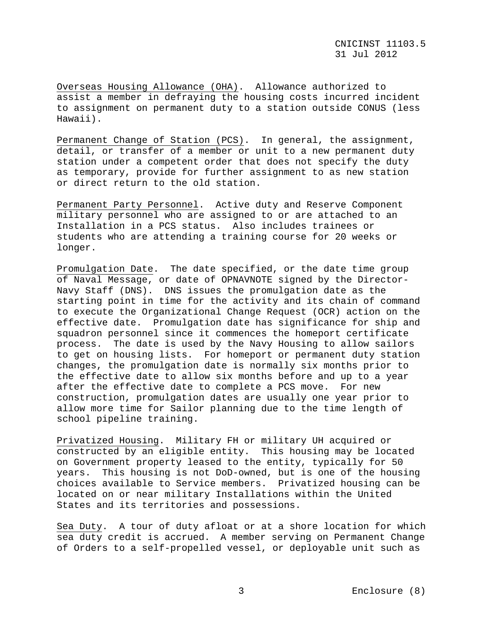Overseas Housing Allowance (OHA). Allowance authorized to assist a member in defraying the housing costs incurred incident to assignment on permanent duty to a station outside CONUS (less Hawaii).

Permanent Change of Station (PCS). In general, the assignment, detail, or transfer of a member or unit to a new permanent duty station under a competent order that does not specify the duty as temporary, provide for further assignment to as new station or direct return to the old station.

Permanent Party Personnel. Active duty and Reserve Component military personnel who are assigned to or are attached to an Installation in a PCS status. Also includes trainees or students who are attending a training course for 20 weeks or longer.

Promulgation Date. The date specified, or the date time group of Naval Message, or date of OPNAVNOTE signed by the Director-Navy Staff (DNS). DNS issues the promulgation date as the starting point in time for the activity and its chain of command to execute the Organizational Change Request (OCR) action on the effective date. Promulgation date has significance for ship and squadron personnel since it commences the homeport certificate process. The date is used by the Navy Housing to allow sailors to get on housing lists. For homeport or permanent duty station changes, the promulgation date is normally six months prior to the effective date to allow six months before and up to a year after the effective date to complete a PCS move. For new construction, promulgation dates are usually one year prior to allow more time for Sailor planning due to the time length of school pipeline training.

Privatized Housing. Military FH or military UH acquired or constructed by an eligible entity. This housing may be located on Government property leased to the entity, typically for 50 years. This housing is not DoD-owned, but is one of the housing choices available to Service members. Privatized housing can be located on or near military Installations within the United States and its territories and possessions.

Sea Duty. A tour of duty afloat or at a shore location for which sea duty credit is accrued. A member serving on Permanent Change of Orders to a self-propelled vessel, or deployable unit such as